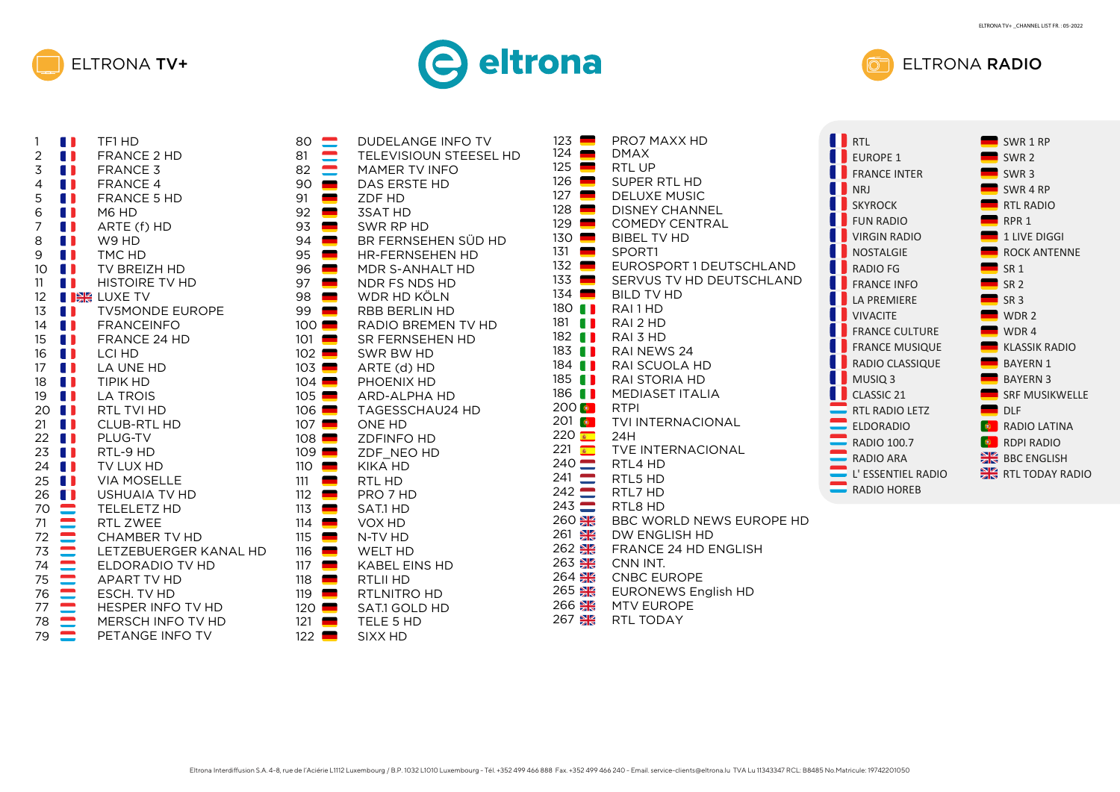





| 1                                                                       | 1 D            | TF1 HD                     |
|-------------------------------------------------------------------------|----------------|----------------------------|
| $\overline{c}$                                                          | $\blacksquare$ | FRANCE 2 HD                |
| 3                                                                       | O              | <b>FRANCE 3</b>            |
| $\overline{4}$                                                          | O              | <b>FRANCE 4</b>            |
| 5                                                                       | O              | FRANCE 5 HD                |
| 6                                                                       |                | $\blacksquare$<br>M6 HD    |
| 7                                                                       |                | $\blacksquare$ ARTE (f) HD |
| 8                                                                       |                | I W9 HD                    |
| 9                                                                       |                | <b>I</b> TMC HD            |
| 10                                                                      |                | TV BREIZH HD               |
| 11                                                                      | O              | HISTOIRE TV HD             |
| 12                                                                      |                | <b>I BE LUXE TV</b>        |
| 13                                                                      | O              | <b>TV5MONDE EUROPE</b>     |
| 14                                                                      |                | <b>I</b> FRANCEINFO        |
| 15                                                                      |                | <b>I</b> FRANCE 24 HD      |
| 16                                                                      |                | <b>I</b> LCI HD            |
| 17                                                                      |                | <b>I</b> LA UNE HD         |
| 18                                                                      |                | <b>I</b> TIPIK HD          |
| 19                                                                      |                | <b>I</b> LA TROIS          |
| 20                                                                      |                | <b>I</b> RTL TVI HD        |
| 21                                                                      |                | <b>I</b> CLUB-RTL HD       |
| 22                                                                      | O              | PLUG-TV                    |
| 23                                                                      | 0              | RTL-9 HD                   |
| 24                                                                      | O              | TV LUX HD                  |
| 25                                                                      | O              | <b>VIA MOSELLE</b>         |
|                                                                         |                | <b>USHUAIA TV HD</b>       |
|                                                                         |                | TELELETZ HD                |
|                                                                         |                | RTL ZWEE                   |
|                                                                         |                | <b>CHAMBER TV HD</b>       |
|                                                                         |                | LETZEBUERGER KANAL HD      |
|                                                                         |                | ELDORADIO TV HD            |
|                                                                         |                | <b>APART TV HD</b>         |
| 25<br>26 70 71 72 73 74 75 76 77 78 79<br>10 77 72 73 74 75 76 77 78 79 |                | ESCH. TV HD                |
|                                                                         |                | HESPER INFO TV HD          |
|                                                                         |                | MERSCH INFO TV HD          |
|                                                                         |                | PETANGE INFO TV            |

| 80                                   |                | <b>DUDELANGE INFO TV</b> |
|--------------------------------------|----------------|--------------------------|
| 81                                   |                | TELEVISIOUN STEESEL HD   |
| 82                                   |                | MAMER TV INFO            |
| 90                                   |                | <b>DAS ERSTE HD</b>      |
|                                      |                | ZDF HD                   |
|                                      |                | <b>3SAT HD</b>           |
|                                      |                | SWR RP HD                |
|                                      |                | BR FERNSEHEN SÜD HD      |
|                                      |                | <b>HR-FERNSEHEN HD</b>   |
|                                      |                | MDR S-ANHALT HD          |
|                                      |                | NDR FS NDS HD            |
|                                      |                | WDR HD KÖLN              |
|                                      |                | RBB BERLIN HD            |
| $91923945$<br>$95999999$<br>$989900$ |                | RADIO BREMEN TV HD       |
| 101                                  | $\blacksquare$ | SR FERNSEHEN HD          |
| 102                                  | ▀              | SWR BW HD                |
| 103                                  | $\blacksquare$ | ARTE (d) HD              |
| $104$ $\blacksquare$                 |                | PHOENIX HD               |
| $105$ $\blacksquare$                 |                | <b>ARD-ALPHA HD</b>      |
| 106                                  | $\blacksquare$ | TAGESSCHAU24 HD          |
| 107                                  | $\blacksquare$ | <b>ONE HD</b>            |
|                                      |                | <b>ZDFINFO HD</b>        |
| $\frac{108}{109}$                    |                | ZDF NEO HD               |
|                                      |                | <b>KIKA HD</b>           |
| 111<br>112                           |                | RTL HD                   |
| 113                                  |                | PRO 7 HD<br>SAT.1 HD     |
| 114                                  |                | VOX HD                   |
| 115                                  |                | N-TV HD                  |
| 116                                  | <u>------</u>  | WELT HD                  |
| 117                                  | ▀              | <b>KABEL EINS HD</b>     |
| 118                                  | ▀              | <b>RTLII HD</b>          |
| 119                                  |                | RTLNITRO HD              |
| 120                                  | $\blacksquare$ | SAT.1 GOLD HD            |
| 121                                  | ÷.             | TELE 5 HD                |
| 122                                  |                | SIXX HD                  |



267 **RE** RTL TODAY

NRJ SWR 4 RP SKYROCK **RTL RADIO** FUN RADIO **RPR 1 VIRGIN RADIO** 1 LIVE DIGGI NOSTALGIE **DE ROCK ANTENNE** RADIO FG SR 1 **FRANCE INFO** SR 2 LA PREMIERE **SR 3 VIVACITE** WDR 2 FRANCE CULTURE WDR 4 **FRANCE MUSIQUE CONSERVATION** KLASSIK RADIO  $RADIO$  CLASSIQUE BAYERN 1 MUSIQ 3 BAYERN 3 CLASSIC 21 SRF MUSIKWELLE RTL RADIO LETZ **DUF** DLF ELDORADIO **DE LA CONSTANTINA** RADIO 100.7 **B** RDPI RADIO RADIO ARA **BBC ENGLISH RTL TODAY RADIO**